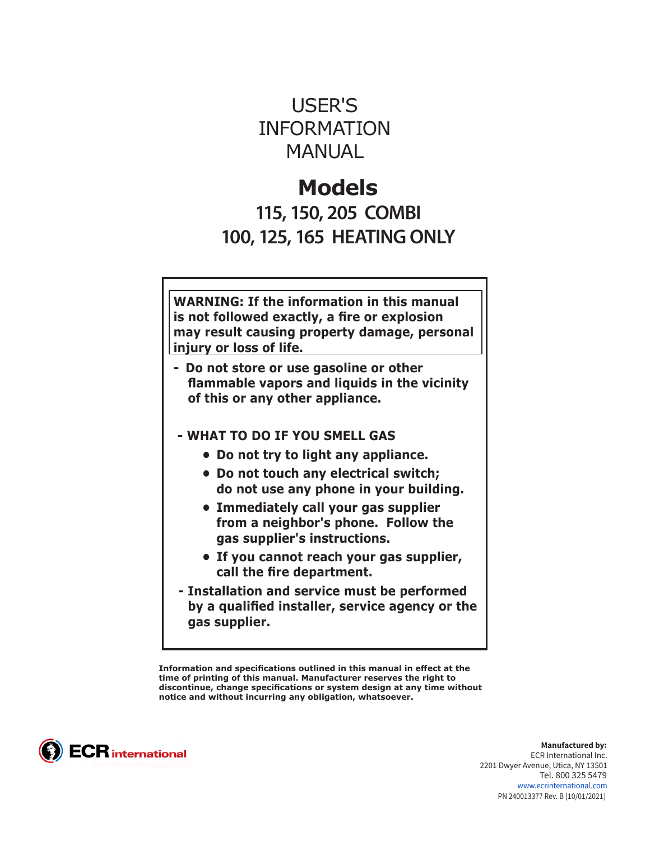# USER'S INFORMATION **MANUAL**

# **Models**

**115, 150, 205 COMBI 100, 125, 165 HEATING ONLY**

**WARNING: If the information in this manual is not followed exactly, a fire or explosion may result causing property damage, personal injury or loss of life.**

- **Do not store or use gasoline or other flammable vapors and liquids in the vicinity of this or any other appliance.**
- **WHAT TO DO IF YOU SMELL GAS** 
	- **• Do not try to light any appliance.**
	- **• Do not touch any electrical switch; do not use any phone in your building.**
	- **• Immediately call your gas supplier from a neighbor's phone. Follow the gas supplier's instructions.**
	- **• If you cannot reach your gas supplier, call the fire department.**
- **Installation and service must be performed by a qualified installer, service agency or the gas supplier.**

**Information and specifications outlined in this manual in effect at the time of printing of this manual. Manufacturer reserves the right to discontinue, change specifications or system design at any time without notice and without incurring any obligation, whatsoever.**



**Manufactured by:** ECR International Inc. 2201 Dwyer Avenue, Utica, NY 13501 Tel. 800 325 5479 www.ecrinternational.com PN 240013377 Rev. B [10/01/2021]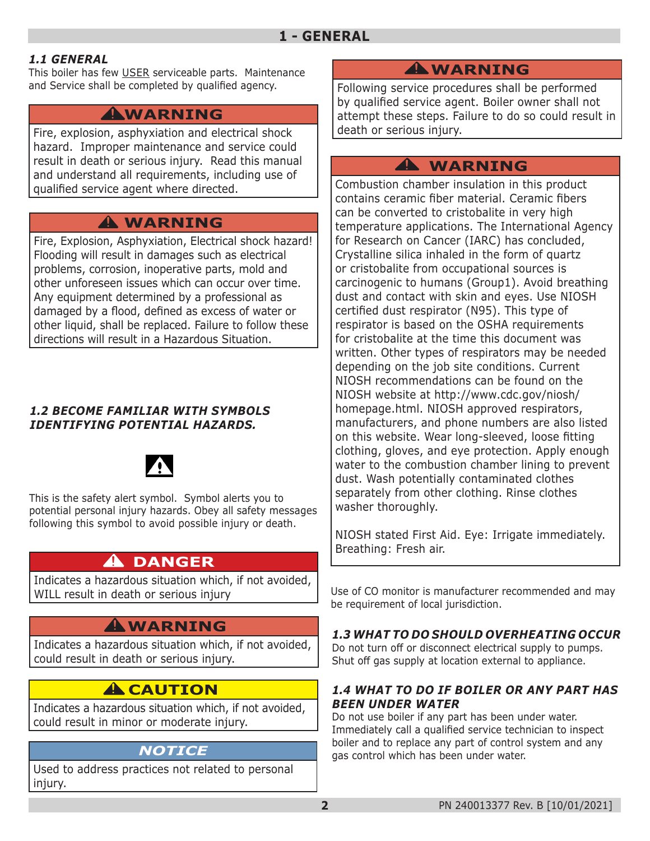#### *1.1 GENERAL*

This boiler has few USER serviceable parts. Maintenance and Service shall be completed by qualified agency.

## **WARNING !**

Fire, explosion, asphyxiation and electrical shock hazard. Improper maintenance and service could result in death or serious injury. Read this manual and understand all requirements, including use of qualified service agent where directed.

# **WARNING !**

Fire, Explosion, Asphyxiation, Electrical shock hazard! Flooding will result in damages such as electrical problems, corrosion, inoperative parts, mold and other unforeseen issues which can occur over time. Any equipment determined by a professional as damaged by a flood, defined as excess of water or other liquid, shall be replaced. Failure to follow these directions will result in a Hazardous Situation.

#### *1.2 BECOME FAMILIAR WITH SYMBOLS IDENTIFYING POTENTIAL HAZARDS.*



This is the safety alert symbol. Symbol alerts you to potential personal injury hazards. Obey all safety messages following this symbol to avoid possible injury or death.

# **DANGER !**

Indicates a hazardous situation which, if not avoided, WILL result in death or serious injury

# **WARNING !**

Indicates a hazardous situation which, if not avoided, could result in death or serious injury.

# **A** CAUTION

Indicates a hazardous situation which, if not avoided, could result in minor or moderate injury.

## *NOTICE*

Used to address practices not related to personal injury.

# **WARNING !**

Following service procedures shall be performed by qualified service agent. Boiler owner shall not attempt these steps. Failure to do so could result in death or serious injury.

## **WARNING !**

Combustion chamber insulation in this product contains ceramic fiber material. Ceramic fibers can be converted to cristobalite in very high temperature applications. The International Agency for Research on Cancer (IARC) has concluded, Crystalline silica inhaled in the form of quartz or cristobalite from occupational sources is carcinogenic to humans (Group1). Avoid breathing dust and contact with skin and eyes. Use NIOSH certified dust respirator (N95). This type of respirator is based on the OSHA requirements for cristobalite at the time this document was written. Other types of respirators may be needed depending on the job site conditions. Current NIOSH recommendations can be found on the NIOSH website at http://www.cdc.gov/niosh/ homepage.html. NIOSH approved respirators, manufacturers, and phone numbers are also listed on this website. Wear long-sleeved, loose fitting clothing, gloves, and eye protection. Apply enough water to the combustion chamber lining to prevent dust. Wash potentially contaminated clothes separately from other clothing. Rinse clothes washer thoroughly.

NIOSH stated First Aid. Eye: Irrigate immediately. Breathing: Fresh air.

Use of CO monitor is manufacturer recommended and may be requirement of local jurisdiction.

#### *1.3 WHAT TO DO SHOULD OVERHEATING OCCUR*

Do not turn off or disconnect electrical supply to pumps. Shut off gas supply at location external to appliance.

#### *1.4 WHAT TO DO IF BOILER OR ANY PART HAS BEEN UNDER WATER*

Do not use boiler if any part has been under water. Immediately call a qualified service technician to inspect boiler and to replace any part of control system and any gas control which has been under water.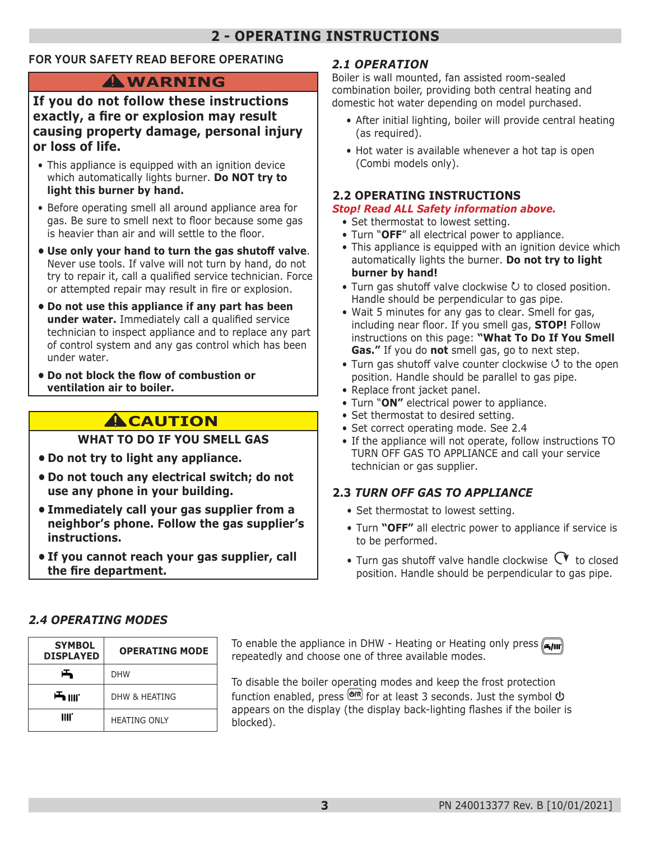# **2 - OPERATING INSTRUCTIONS**

#### **FOR YOUR SAFETY READ BEFORE OPERATING**

# **WARNING !**

#### **If you do not follow these instructions exactly, a fire or explosion may result causing property damage, personal injury or loss of life.**

- This appliance is equipped with an ignition device which automatically lights burner. **Do NOT try to light this burner by hand.**
- Before operating smell all around appliance area for gas. Be sure to smell next to floor because some gas is heavier than air and will settle to the floor.
- **• Use only your hand to turn the gas shutoff valve**. Never use tools. If valve will not turn by hand, do not try to repair it, call a qualified service technician. Force or attempted repair may result in fire or explosion.
- **• Do not use this appliance if any part has been under water.** Immediately call a qualified service technician to inspect appliance and to replace any part of control system and any gas control which has been under water.
- **• Do not block the flow of combustion or ventilation air to boiler.**

# **A**CAUTION

#### **WHAT TO DO IF YOU SMELL GAS**

- **• Do not try to light any appliance.**
- **• Do not touch any electrical switch; do not use any phone in your building.**
- **• Immediately call your gas supplier from a neighbor's phone. Follow the gas supplier's instructions.**
- **• If you cannot reach your gas supplier, call the fire department.**

#### *2.1 OPERATION*

Boiler is wall mounted, fan assisted room-sealed combination boiler, providing both central heating and domestic hot water depending on model purchased.

- After initial lighting, boiler will provide central heating (as required).
- Hot water is available whenever a hot tap is open (Combi models only).

#### **2.2 OPERATING INSTRUCTIONS**

#### *Stop! Read ALL Safety information above.*

- Set thermostat to lowest setting.
- Turn "**OFF**" all electrical power to appliance.
- This appliance is equipped with an ignition device which automatically lights the burner. **Do not try to light burner by hand!**
- Turn gas shutoff valve clockwise  $U$  to closed position. Handle should be perpendicular to gas pipe.
- Wait 5 minutes for any gas to clear. Smell for gas, including near floor. If you smell gas, **STOP!** Follow instructions on this page: **"What To Do If You Smell Gas."** If you do **not** smell gas, go to next step.
- Turn gas shutoff valve counter clockwise  $\circ$  to the open position. Handle should be parallel to gas pipe.
- Replace front jacket panel.
- Turn "**ON"** electrical power to appliance.
- Set thermostat to desired setting.
- Set correct operating mode. See 2.4
- If the appliance will not operate, follow instructions TO TURN OFF GAS TO APPLIANCE and call your service technician or gas supplier.

#### **2.3** *TURN OFF GAS TO APPLIANCE*

- Set thermostat to lowest setting.
- Turn **"OFF"** all electric power to appliance if service is to be performed.
- Turn gas shutoff valve handle clockwise  $\mathbb{C}^{\blacktriangledown}$  to closed position. Handle should be perpendicular to gas pipe.

#### *2.4 OPERATING MODES*

| <b>SYMBOL</b>    | <b>OPERATING MODE</b> |
|------------------|-----------------------|
| <b>DISPLAYED</b> |                       |
| 凸                | <b>DHW</b>            |
| <b>一</b> IIII.   | DHW & HFATING         |
| IIII.            | <b>HEATING ONLY</b>   |

**To enable the appliance in DHW - Heating or Heating only press <b>Figure** repeatedly and choose one of three available modes.

To disable the boiler operating modes and keep the frost protection function enabled, press  $\overline{\text{O}^{(R)}}$  for at least 3 seconds. Just the symbol  $\overline{\text{O}}$ appears on the display (the display back-lighting flashes if the boiler is blocked).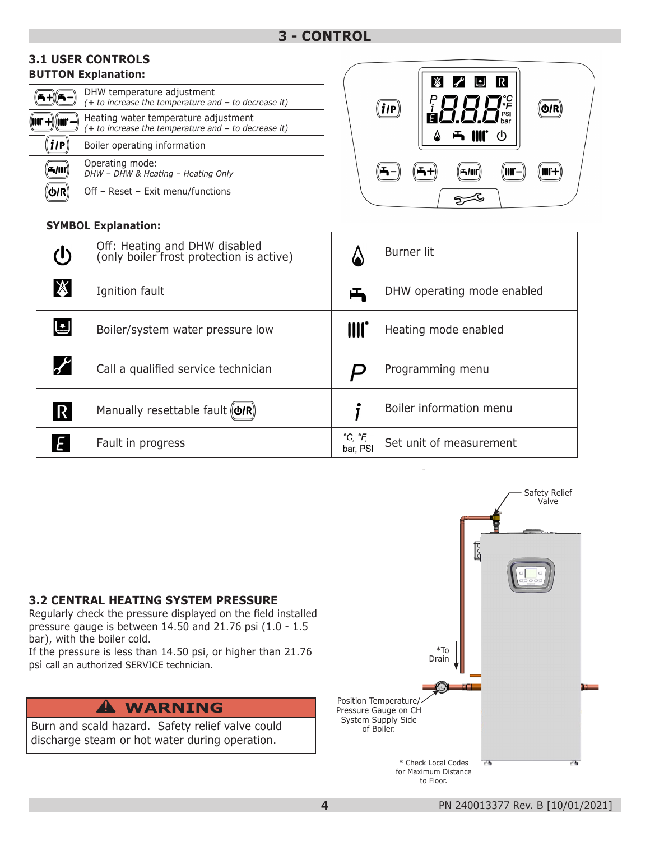#### **BUTTON Explanation: 3.1 USER CONTROLS**

|           | DHW temperature adjustment<br>$(+ to increase the temperature and - to decrease it)$           |
|-----------|------------------------------------------------------------------------------------------------|
|           | Heating water temperature adjustment<br>$(+ to increase the temperature and - to decrease it)$ |
| <b>IP</b> | Boiler operating information                                                                   |
|           | Operating mode:<br>DHW - DHW & Heating - Heating Only                                          |
|           | Off - Reset - Exit menu/functions                                                              |

#### **SYMBOL Explanation:**

| İlP | <b>X Z U R</b><br>$\left  \begin{array}{c} \prod\limits_{\mathfrak{p}\in\mathcal{P}} \prod\limits_{\mathfrak{p}\in\mathcal{P}} \mathfrak{p}_{\mathfrak{p}\mathfrak{s}\mathfrak{r}}^{c_{\mathfrak{s}\mathfrak{s}}}\ \mathfrak{f}\quad \text{and}\qquad \mathfrak{g}\quad \mathfrak{g}\quad \mathfrak{g}\quad \mathfrak{g}\quad \mathfrak{g}\quad \mathfrak{g}\quad \mathfrak{g}\quad \mathfrak{g}\quad \mathfrak{g}\quad \mathfrak{g}\quad \mathfrak{g}\quad \mathfrak{g}\quad \mathfrak{g}\quad \mathfrak{g}\quad \mathfrak{$<br>$\frac{i}{2}$ | <u> ዕ/R</u> |
|-----|------------------------------------------------------------------------------------------------------------------------------------------------------------------------------------------------------------------------------------------------------------------------------------------------------------------------------------------------------------------------------------------------------------------------------------------------------------------------------------------------------------------------------------------------|-------------|
|     | 5/III                                                                                                                                                                                                                                                                                                                                                                                                                                                                                                                                          | M.+         |

| (l)              | Off: Heating and DHW disabled<br>(only boiler frost protection is active) | 6                   | <b>Burner lit</b>          |
|------------------|---------------------------------------------------------------------------|---------------------|----------------------------|
| $\mathbb{X}$     | Ignition fault                                                            | 凸                   | DHW operating mode enabled |
| し                | Boiler/system water pressure low                                          | III.                | Heating mode enabled       |
| $\boldsymbol{f}$ | Call a qualified service technician                                       | $\bm{\nu}$          | Programming menu           |
| $\overline{R}$   | Manually resettable fault (O/R)                                           |                     | Boiler information menu    |
|                  | Fault in progress                                                         | °C, °F,<br>bar, PSI | Set unit of measurement    |

#### **3.2 CENTRAL HEATING SYSTEM PRESSURE**

Regularly check the pressure displayed on the field installed pressure gauge is between 14.50 and 21.76 psi (1.0 - 1.5 bar), with the boiler cold.

If the pressure is less than 14.50 psi, or higher than 21.76 psi call an authorized SERVICE technician.

# **WARNING !**

Burn and scald hazard. Safety relief valve could discharge steam or hot water during operation.

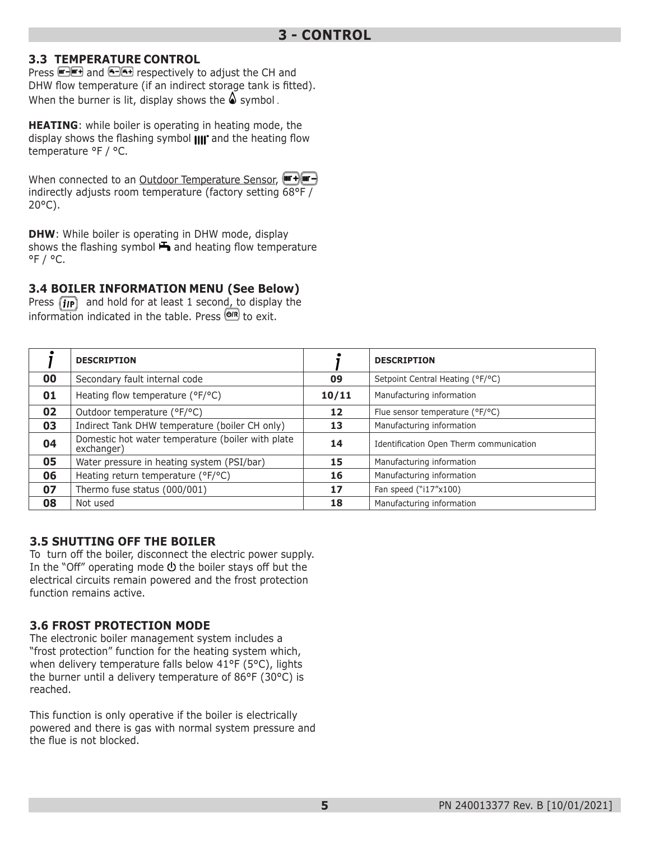#### **3.3 TEMPERATURE CONTROL**

Press **and and 6-6+** respectively to adjust the CH and DHW flow temperature (if an indirect storage tank is fitted). When the burner is lit, display shows the  $\triangle$  symbol.

**HEATING**: while boiler is operating in heating mode, the display shows the flashing symbol  $\text{III}^*$  and the heating flow temperature °F / °C.

When connected to an Outdoor Temperature Sensor, (Form +) (The H) indirectly adjusts room temperature (factory setting 68°F / 20°C).

**DHW**: While boiler is operating in DHW mode, display shows the flashing symbol  $\blacktriangleright$  and heating flow temperature  $^{\circ}$ F /  $^{\circ}$ C.

#### **3.4 BOILER INFORMATION MENU (See Below)**

Press  $\left(\mathbf{i}\mathbf{p}\right)$  and hold for at least 1 second, to display the information indicated in the table. Press  $\overline{\text{Q/R}}$  to exit.

|    | <b>DESCRIPTION</b>                                              |       | <b>DESCRIPTION</b>                      |
|----|-----------------------------------------------------------------|-------|-----------------------------------------|
| 00 | Secondary fault internal code                                   | 09    | Setpoint Central Heating (°F/°C)        |
| 01 | Heating flow temperature (°F/°C)                                | 10/11 | Manufacturing information               |
| 02 | Outdoor temperature (°F/°C)                                     | 12    | Flue sensor temperature (°F/°C)         |
| 03 | Indirect Tank DHW temperature (boiler CH only)                  | 13    | Manufacturing information               |
| 04 | Domestic hot water temperature (boiler with plate<br>exchanger) | 14    | Identification Open Therm communication |
| 05 | Water pressure in heating system (PSI/bar)                      | 15    | Manufacturing information               |
| 06 | Heating return temperature (°F/°C)                              | 16    | Manufacturing information               |
| 07 | Thermo fuse status (000/001)                                    | 17    | Fan speed ("i17"x100)                   |
| 08 | Not used                                                        | 18    | Manufacturing information               |

#### **3.5 SHUTTING OFF THE BOILER**

To turn off the boiler, disconnect the electric power supply. In the "Off" operating mode  $\Phi$  the boiler stays off but the electrical circuits remain powered and the frost protection function remains active.

#### **3.6 FROST PROTECTION MODE**

The electronic boiler management system includes a "frost protection" function for the heating system which, when delivery temperature falls below 41°F (5°C), lights the burner until a delivery temperature of 86°F (30°C) is reached.

This function is only operative if the boiler is electrically powered and there is gas with normal system pressure and the flue is not blocked.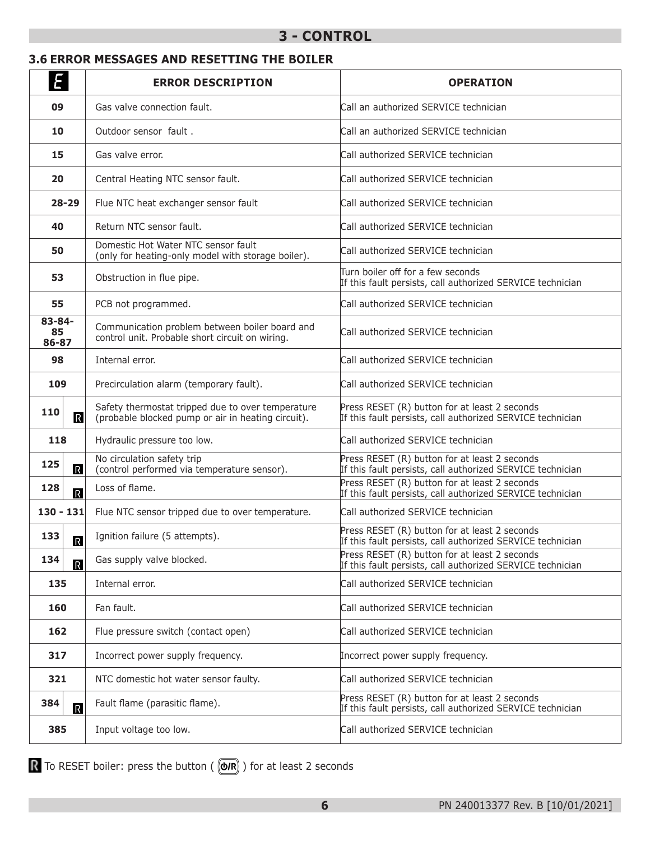### **3 - CONTROL**

#### **3.6 ERROR MESSAGES AND RESETTING THE BOILER**

| E                              | <b>ERROR DESCRIPTION</b>                                                                                | <b>OPERATION</b>                                                                                            |
|--------------------------------|---------------------------------------------------------------------------------------------------------|-------------------------------------------------------------------------------------------------------------|
| 09                             | Gas valve connection fault.                                                                             | Call an authorized SERVICE technician                                                                       |
| 10                             | Outdoor sensor fault.                                                                                   | Call an authorized SERVICE technician                                                                       |
| 15                             | Gas valve error.                                                                                        | Call authorized SERVICE technician                                                                          |
| 20                             | Central Heating NTC sensor fault.                                                                       | Call authorized SERVICE technician                                                                          |
| $28 - 29$                      | Flue NTC heat exchanger sensor fault                                                                    | Call authorized SERVICE technician                                                                          |
| 40                             | Return NTC sensor fault.                                                                                | Call authorized SERVICE technician                                                                          |
| 50                             | Domestic Hot Water NTC sensor fault<br>(only for heating-only model with storage boiler).               | Call authorized SERVICE technician                                                                          |
| 53                             | Obstruction in flue pipe.                                                                               | Turn boiler off for a few seconds<br>If this fault persists, call authorized SERVICE technician             |
| 55                             | PCB not programmed.                                                                                     | Call authorized SERVICE technician                                                                          |
| 83-84-<br>85<br>86-87          | Communication problem between boiler board and<br>control unit. Probable short circuit on wiring.       | Call authorized SERVICE technician                                                                          |
| 98                             | Internal error.                                                                                         | Call authorized SERVICE technician                                                                          |
| 109                            | Precirculation alarm (temporary fault).                                                                 | Call authorized SERVICE technician                                                                          |
| 110<br>$\mathbb{R}$            | Safety thermostat tripped due to over temperature<br>(probable blocked pump or air in heating circuit). | Press RESET (R) button for at least 2 seconds<br>If this fault persists, call authorized SERVICE technician |
| 118                            | Hydraulic pressure too low.                                                                             | Call authorized SERVICE technician                                                                          |
| 125<br>$\overline{\mathsf{R}}$ | No circulation safety trip<br>(control performed via temperature sensor).                               | Press RESET (R) button for at least 2 seconds<br>If this fault persists, call authorized SERVICE technician |
| 128<br>$\overline{\mathbb{R}}$ | Loss of flame.                                                                                          | Press RESET (R) button for at least 2 seconds<br>If this fault persists, call authorized SERVICE technician |
| $130 - 131$                    | Flue NTC sensor tripped due to over temperature.                                                        | Call authorized SERVICE technician                                                                          |
| 133<br>$\mathbf R$             | Ignition failure (5 attempts).                                                                          | Press RESET (R) button for at least 2 seconds<br>If this fault persists, call authorized SERVICE technician |
| 134<br>$\overline{\mathbb{R}}$ | Gas supply valve blocked.                                                                               | Press RESET (R) button for at least 2 seconds<br>If this fault persists, call authorized SERVICE technician |
| 135                            | Internal error.                                                                                         | Call authorized SERVICE technician                                                                          |
| 160                            | Fan fault.                                                                                              | Call authorized SERVICE technician                                                                          |
| 162                            | Flue pressure switch (contact open)                                                                     | Call authorized SERVICE technician                                                                          |
| 317                            | Incorrect power supply frequency.                                                                       | Incorrect power supply frequency.                                                                           |
| 321                            | NTC domestic hot water sensor faulty.                                                                   | Call authorized SERVICE technician                                                                          |
| 384<br>$\overline{\mathbb{R}}$ | Fault flame (parasitic flame).                                                                          | Press RESET (R) button for at least 2 seconds<br>If this fault persists, call authorized SERVICE technician |
| 385                            | Input voltage too low.                                                                                  | Call authorized SERVICE technician                                                                          |

To RESET boiler: press the button ( $($   $\circledR$ ) for at least 2 seconds

**6**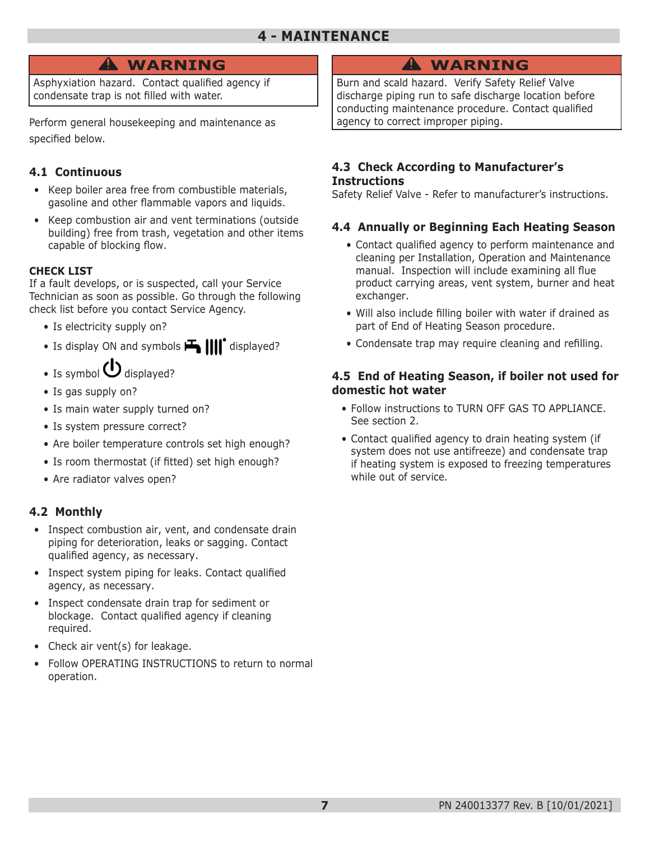### **4 - MAINTENANCE**

## **WARNING !**

Asphyxiation hazard. Contact qualified agency if condensate trap is not filled with water.

Perform general housekeeping and maintenance as specified below.

#### **4.1 Continuous**

- Keep boiler area free from combustible materials, gasoline and other flammable vapors and liquids.
- Keep combustion air and vent terminations (outside building) free from trash, vegetation and other items capable of blocking flow.

#### **CHECK LIST**

If a fault develops, or is suspected, call your Service Technician as soon as possible. Go through the following check list before you contact Service Agency.

- Is electricity supply on?
- Is display ON and symbols  $\mathbf{H}$   $\text{||} \text{||}^{\bullet}$  displayed?
- Is symbol  $\bigcup$  displayed?
- Is gas supply on?
- Is main water supply turned on?
- Is system pressure correct?
- Are boiler temperature controls set high enough?
- Is room thermostat (if fitted) set high enough?
- Are radiator valves open?

#### **4.2 Monthly**

- Inspect combustion air, vent, and condensate drain piping for deterioration, leaks or sagging. Contact qualified agency, as necessary.
- Inspect system piping for leaks. Contact qualified agency, as necessary.
- Inspect condensate drain trap for sediment or blockage. Contact qualified agency if cleaning required.
- Check air vent(s) for leakage.
- Follow OPERATING INSTRUCTIONS to return to normal operation.

# **WARNING !**

Burn and scald hazard. Verify Safety Relief Valve discharge piping run to safe discharge location before conducting maintenance procedure. Contact qualified agency to correct improper piping.

#### **4.3 Check According to Manufacturer's Instructions**

Safety Relief Valve - Refer to manufacturer's instructions.

#### **4.4 Annually or Beginning Each Heating Season**

- Contact qualified agency to perform maintenance and cleaning per Installation, Operation and Maintenance manual. Inspection will include examining all flue product carrying areas, vent system, burner and heat exchanger.
- Will also include filling boiler with water if drained as part of End of Heating Season procedure.
- Condensate trap may require cleaning and refilling.

#### **4.5 End of Heating Season, if boiler not used for domestic hot water**

- Follow instructions to TURN OFF GAS TO APPLIANCE. See section 2.
- Contact qualified agency to drain heating system (if system does not use antifreeze) and condensate trap if heating system is exposed to freezing temperatures while out of service.